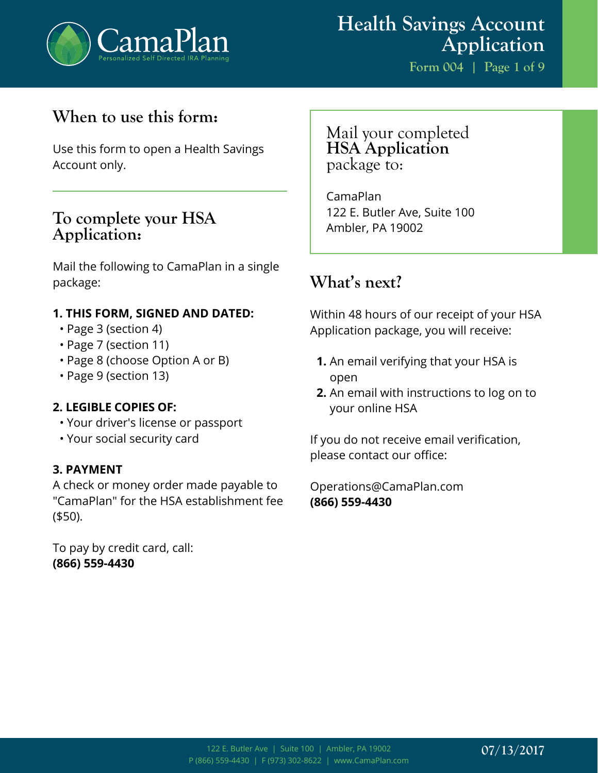

# **Health Savings Account Application**

**Form 004 | Page 1 of 9**

# **When to use this form:**

Use this form to open a Health Savings Account only.

### **To complete your HSA Application:**

Mail the following to CamaPlan in a single package:

#### **1. THIS FORM, SIGNED AND DATED:**

- Page 3 (section 4)
- Page 7 (section 11)
- Page 8 (choose Option A or B)
- Page 9 (section 13)

#### **2. LEGIBLE COPIES OF:**

- Your driver's license or passport
- Your social security card

#### **3. PAYMENT**

A check or money order made payable to "CamaPlan" for the HSA establishment fee (\$50).

To pay by credit card, call: **(866) 559-4430**

### Mail your completed **HSA Application** package to:

CamaPlan 122 E. Butler Ave, Suite 100 Ambler, PA 19002

## **What's next?**

Within 48 hours of our receipt of your HSA Application package, you will receive:

- **1.** An email verifying that your HSA is open
- **2.** An email with instructions to log on to your online HSA

If you do not receive email verification, please contact our office:

Operations@CamaPlan.com **(866) 559-4430**

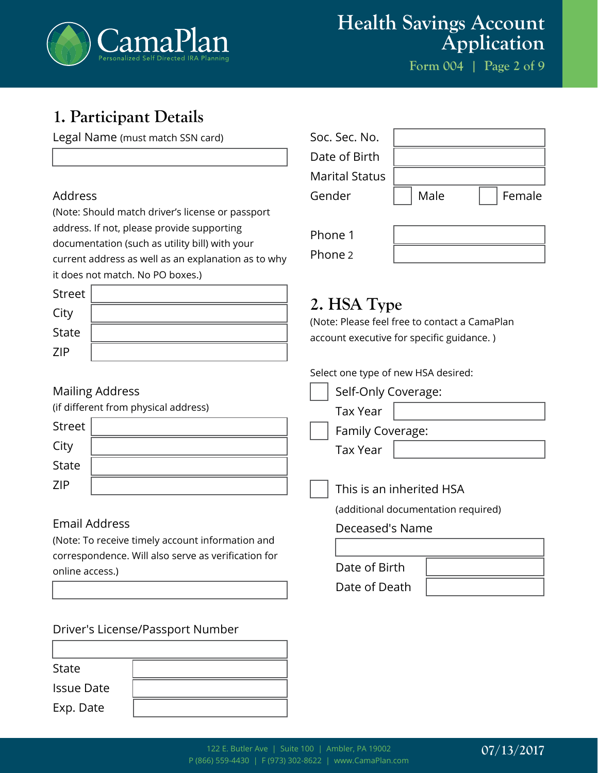

# **Health Savings Account Application**

**Form 004 | Page 2 of 9**

# **1. Participant Details**

Legal Name (must match SSN card)

#### Address

(Note: Should match driver's license or passport address. If not, please provide supporting documentation (such as utility bill) with your current address as well as an explanation as to why it does not match. No PO boxes.)

| Street     |  |
|------------|--|
| City       |  |
| State      |  |
| <b>ZIP</b> |  |

#### Mailing Address

(if different from ph

| Street       |  |
|--------------|--|
| City         |  |
| <b>State</b> |  |
| <b>ZIP</b>   |  |

#### Email Address

(Note: To receive timely account information and correspondence. Will also serve as verification for online access.)

#### Driver's License/Passport Number

State Issue Date Exp. Date

| Soc. Sec. No.<br>Date of Birth  |      |        |
|---------------------------------|------|--------|
| <b>Marital Status</b><br>Gender | Male | Female |
| Phone 1                         |      |        |
| Phone 2                         |      |        |

# **2. HSA Type**

(Note: Please feel free to contact a CamaPlan account executive for specific guidance. )

Select one type of new HSA desired:

|                  | Self-Only Coverage:                 |
|------------------|-------------------------------------|
| hysical address) | <b>Tax Year</b>                     |
|                  | Family Coverage:                    |
|                  | <b>Tax Year</b>                     |
|                  |                                     |
|                  | This is an inherited HSA            |
|                  | (additional documentation required) |
|                  | Deceased's Name                     |

| Date of Birth |  |
|---------------|--|
| Date of Death |  |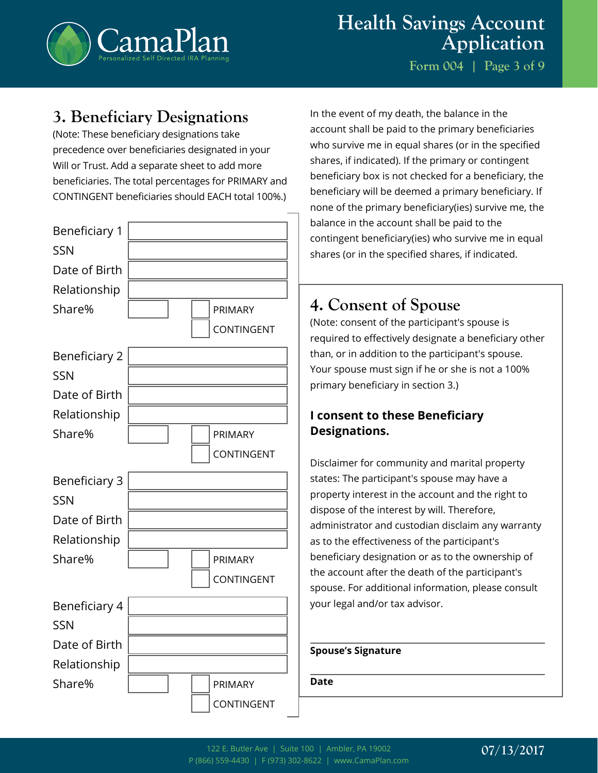

**Form 004 | Page 3 of 9**

## **3. Beneficiary Designations**

(Note: These beneficiary designations take precedence over beneficiaries designated in your Will or Trust. Add a separate sheet to add more beneficiaries. The total percentages for PRIMARY and CONTINGENT beneficiaries should EACH total 100%.)



In the event of my death, the balance in the account shall be paid to the primary beneficiaries who survive me in equal shares (or in the specified shares, if indicated). If the primary or contingent beneficiary box is not checked for a beneficiary, the beneficiary will be deemed a primary beneficiary. If none of the primary beneficiary(ies) survive me, the balance in the account shall be paid to the contingent beneficiary(ies) who survive me in equal shares (or in the specified shares, if indicated.

# **4. Consent of Spouse**

(Note: consent of the participant's spouse is required to effectively designate a beneficiary other than, or in addition to the participant's spouse. Your spouse must sign if he or she is not a 100% primary beneficiary in section 3.)

### **I consent to these Beneficiary Designations.**

Disclaimer for community and marital property states: The participant's spouse may have a property interest in the account and the right to dispose of the interest by will. Therefore, administrator and custodian disclaim any warranty as to the effectiveness of the participant's beneficiary designation or as to the ownership of the account after the death of the participant's spouse. For additional information, please consult your legal and/or tax advisor.

#### **Spouse's Signature**

**Date**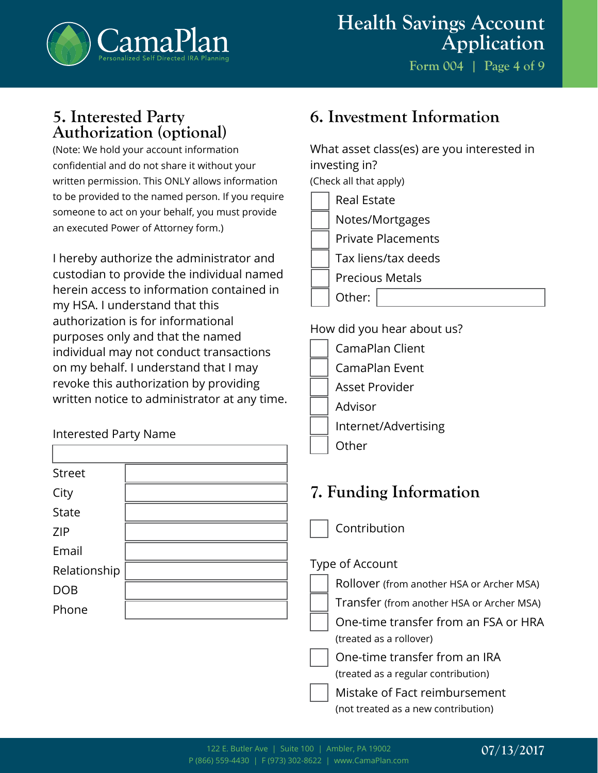

## **5. Interested Party Authorization (optional)**

(Note: We hold your account information confidential and do not share it without your written permission. This ONLY allows information to be provided to the named person. If you require someone to act on your behalf, you must provide an executed Power of Attorney form.)

I hereby authorize the administrator and custodian to provide the individual named herein access to information contained in my HSA. I understand that this authorization is for informational purposes only and that the named individual may not conduct transactions on my behalf. I understand that I may revoke this authorization by providing written notice to administrator at any time.

### Interested Party Name

| <b>Street</b> |  |
|---------------|--|
| City          |  |
| <b>State</b>  |  |
| <b>ZIP</b>    |  |
| Email         |  |
| Relationship  |  |
| <b>DOB</b>    |  |
| Phone         |  |
|               |  |

# **6. Investment Information**

What asset class(es) are you interested in investing in? (Check all that apply)

| <b>Real Estate</b>        |
|---------------------------|
| Notes/Mortgages           |
| <b>Private Placements</b> |
| Tax liens/tax deeds       |
| <b>Precious Metals</b>    |
| Other:                    |

#### How did you hear about us?

- CamaPlan Client CamaPlan Event Asset Provider
- Advisor
	- Internet/Advertising

### **Other**

# **7. Funding Information**

Contribution

### Type of Account

- Rollover (from another HSA or Archer MSA)
- Transfer (from another HSA or Archer MSA)
- One-time transfer from an FSA or HRA (treated as a rollover)
- One-time transfer from an IRA (treated as a regular contribution)
	- Mistake of Fact reimbursement (not treated as a new contribution)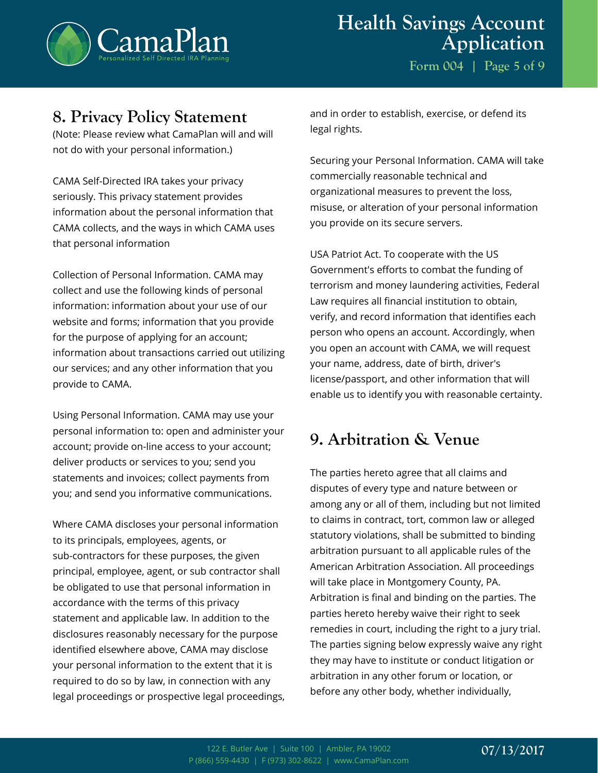

### **8. Privacy Policy Statement**

(Note: Please review what CamaPlan will and will not do with your personal information.)

CAMA Self-Directed IRA takes your privacy seriously. This privacy statement provides information about the personal information that CAMA collects, and the ways in which CAMA uses that personal information

Collection of Personal Information. CAMA may collect and use the following kinds of personal information: information about your use of our website and forms; information that you provide for the purpose of applying for an account; information about transactions carried out utilizing our services; and any other information that you provide to CAMA.

Using Personal Information. CAMA may use your personal information to: open and administer your account; provide on-line access to your account; deliver products or services to you; send you statements and invoices; collect payments from you; and send you informative communications.

Where CAMA discloses your personal information to its principals, employees, agents, or sub-contractors for these purposes, the given principal, employee, agent, or sub contractor shall be obligated to use that personal information in accordance with the terms of this privacy statement and applicable law. In addition to the disclosures reasonably necessary for the purpose identified elsewhere above, CAMA may disclose your personal information to the extent that it is required to do so by law, in connection with any legal proceedings or prospective legal proceedings, and in order to establish, exercise, or defend its legal rights.

Securing your Personal Information. CAMA will take commercially reasonable technical and organizational measures to prevent the loss, misuse, or alteration of your personal information you provide on its secure servers.

USA Patriot Act. To cooperate with the US Government's efforts to combat the funding of terrorism and money laundering activities, Federal Law requires all financial institution to obtain, verify, and record information that identifies each person who opens an account. Accordingly, when you open an account with CAMA, we will request your name, address, date of birth, driver's license/passport, and other information that will enable us to identify you with reasonable certainty.

# **9. Arbitration & Venue**

The parties hereto agree that all claims and disputes of every type and nature between or among any or all of them, including but not limited to claims in contract, tort, common law or alleged statutory violations, shall be submitted to binding arbitration pursuant to all applicable rules of the American Arbitration Association. All proceedings will take place in Montgomery County, PA. Arbitration is final and binding on the parties. The parties hereto hereby waive their right to seek remedies in court, including the right to a jury trial. The parties signing below expressly waive any right they may have to institute or conduct litigation or arbitration in any other forum or location, or before any other body, whether individually,

### **07/13/2017**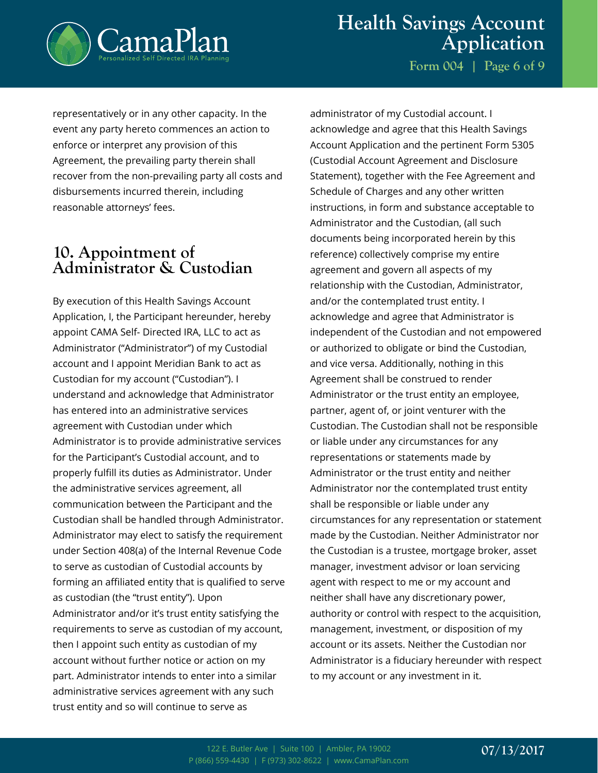

**Form 004 | Page 6 of 9**

representatively or in any other capacity. In the event any party hereto commences an action to enforce or interpret any provision of this Agreement, the prevailing party therein shall recover from the non-prevailing party all costs and disbursements incurred therein, including reasonable attorneys' fees.

### **10. Appointment of Administrator & Custodian**

By execution of this Health Savings Account Application, I, the Participant hereunder, hereby appoint CAMA Self- Directed IRA, LLC to act as Administrator ("Administrator") of my Custodial account and I appoint Meridian Bank to act as Custodian for my account ("Custodian"). I understand and acknowledge that Administrator has entered into an administrative services agreement with Custodian under which Administrator is to provide administrative services for the Participant's Custodial account, and to properly fulfill its duties as Administrator. Under the administrative services agreement, all communication between the Participant and the Custodian shall be handled through Administrator. Administrator may elect to satisfy the requirement under Section 408(a) of the Internal Revenue Code to serve as custodian of Custodial accounts by forming an affiliated entity that is qualified to serve as custodian (the "trust entity"). Upon Administrator and/or it's trust entity satisfying the requirements to serve as custodian of my account, then I appoint such entity as custodian of my account without further notice or action on my part. Administrator intends to enter into a similar administrative services agreement with any such trust entity and so will continue to serve as

administrator of my Custodial account. I acknowledge and agree that this Health Savings Account Application and the pertinent Form 5305 (Custodial Account Agreement and Disclosure Statement), together with the Fee Agreement and Schedule of Charges and any other written instructions, in form and substance acceptable to Administrator and the Custodian, (all such documents being incorporated herein by this reference) collectively comprise my entire agreement and govern all aspects of my relationship with the Custodian, Administrator, and/or the contemplated trust entity. I acknowledge and agree that Administrator is independent of the Custodian and not empowered or authorized to obligate or bind the Custodian, and vice versa. Additionally, nothing in this Agreement shall be construed to render Administrator or the trust entity an employee, partner, agent of, or joint venturer with the Custodian. The Custodian shall not be responsible or liable under any circumstances for any representations or statements made by Administrator or the trust entity and neither Administrator nor the contemplated trust entity shall be responsible or liable under any circumstances for any representation or statement made by the Custodian. Neither Administrator nor the Custodian is a trustee, mortgage broker, asset manager, investment advisor or loan servicing agent with respect to me or my account and neither shall have any discretionary power, authority or control with respect to the acquisition, management, investment, or disposition of my account or its assets. Neither the Custodian nor Administrator is a fiduciary hereunder with respect to my account or any investment in it.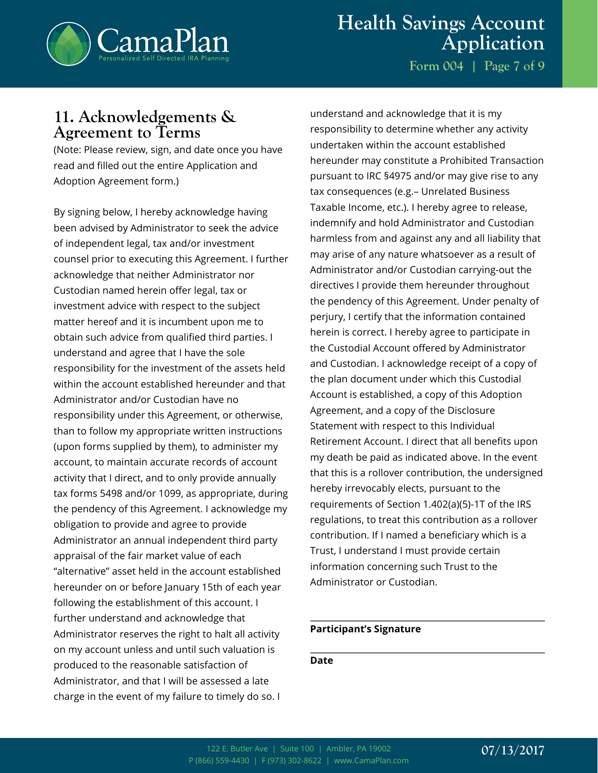

**Form 004 | Page 7 of 9**

### **11. Acknowledgements & Agreement to Terms**

(Note: Please review, sign, and date once you have read and filled out the entire Application and Adoption Agreement form.)

By signing below, I hereby acknowledge having been advised by Administrator to seek the advice of independent legal, tax and/or investment counsel prior to executing this Agreement. I further acknowledge that neither Administrator nor Custodian named herein offer legal, tax or investment advice with respect to the subject matter hereof and it is incumbent upon me to obtain such advice from qualified third parties. I understand and agree that I have the sole responsibility for the investment of the assets held within the account established hereunder and that Administrator and/or Custodian have no responsibility under this Agreement, or otherwise, than to follow my appropriate written instructions (upon forms supplied by them), to administer my account, to maintain accurate records of account activity that I direct, and to only provide annually tax forms 5498 and/or 1099, as appropriate, during the pendency of this Agreement. I acknowledge my obligation to provide and agree to provide Administrator an annual independent third party appraisal of the fair market value of each "alternative" asset held in the account established hereunder on or before January 15th of each year following the establishment of this account. I further understand and acknowledge that Administrator reserves the right to halt all activity on my account unless and until such valuation is produced to the reasonable satisfaction of Administrator, and that I will be assessed a late charge in the event of my failure to timely do so. I

understand and acknowledge that it is my responsibility to determine whether any activity undertaken within the account established hereunder may constitute a Prohibited Transaction pursuant to IRC §4975 and/or may give rise to any tax consequences (e.g.– Unrelated Business Taxable Income, etc.). I hereby agree to release, indemnify and hold Administrator and Custodian harmless from and against any and all liability that may arise of any nature whatsoever as a result of Administrator and/or Custodian carrying-out the directives I provide them hereunder throughout the pendency of this Agreement. Under penalty of perjury, I certify that the information contained herein is correct. I hereby agree to participate in the Custodial Account offered by Administrator and Custodian. I acknowledge receipt of a copy of the plan document under which this Custodial Account is established, a copy of this Adoption Agreement, and a copy of the Disclosure Statement with respect to this Individual Retirement Account. I direct that all benefits upon my death be paid as indicated above. In the event that this is a rollover contribution, the undersigned hereby irrevocably elects, pursuant to the requirements of Section 1.402(a)(5)-1T of the IRS regulations, to treat this contribution as a rollover contribution. If I named a beneficiary which is a Trust, I understand I must provide certain information concerning such Trust to the Administrator or Custodian.

#### **Participant's Signature**

#### **Date**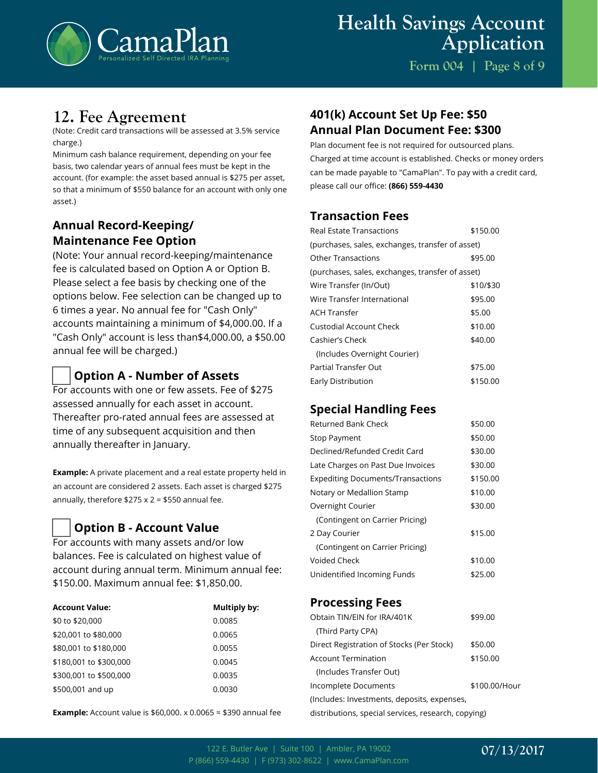

**Form 004 | Page 8 of 9**

## **12. Fee Agreement**

(Note: Credit card transactions will be assessed at 3.5% service charge.)

Minimum cash balance requirement, depending on your fee basis, two calendar years of annual fees must be kept in the account. (for example: the asset based annual is \$275 per asset, so that a minimum of \$550 balance for an account with only one asset.)

### **Annual Record-Keeping/ Maintenance Fee Option**

(Note: Your annual record-keeping/maintenance fee is calculated based on Option A or Option B. Please select a fee basis by checking one of the options below. Fee selection can be changed up to 6 times a year. No annual fee for "Cash Only" accounts maintaining a minimum of \$4,000.00. If a "Cash Only" account is less than\$4,000.00, a \$50.00 annual fee will be charged.)

### **Option A - Number of Assets**

For accounts with one or few assets. Fee of \$275 assessed annually for each asset in account. Thereafter pro-rated annual fees are assessed at time of any subsequent acquisition and then annually thereafter in January.

**Example:** A private placement and a real estate property held in an account are considered 2 assets. Each asset is charged \$275 annually, therefore  $$275 \times 2 = $550$  annual fee.

#### **Option B - Account Value**

For accounts with many assets and/or low balances. Fee is calculated on highest value of account during annual term. Minimum annual fee: \$150.00. Maximum annual fee: \$1,850.00.

| <b>Account Value:</b>  | Multiply by: |
|------------------------|--------------|
| \$0 to \$20,000        | 0.0085       |
| \$20,001 to \$80,000   | 0.0065       |
| \$80,001 to \$180,000  | 0.0055       |
| \$180,001 to \$300,000 | 0.0045       |
| \$300,001 to \$500,000 | 0.0035       |
| \$500,001 and up       | 0.0030       |

**Example:** Account value is \$60,000. x 0.0065 = \$390 annual fee

### **401(k) Account Set Up Fee: \$50 Annual Plan Document Fee: \$300**

Plan document fee is not required for outsourced plans. Charged at time account is established. Checks or money orders can be made payable to "CamaPlan". To pay with a credit card, please call our office: **(866) 559-4430**

#### **Transaction Fees**

| \$150.00                                         |  |  |
|--------------------------------------------------|--|--|
| (purchases, sales, exchanges, transfer of asset) |  |  |
| \$95.00                                          |  |  |
| (purchases, sales, exchanges, transfer of asset) |  |  |
| \$10/\$30                                        |  |  |
| \$95.00                                          |  |  |
| \$5.00                                           |  |  |
| \$10.00                                          |  |  |
| \$40.00                                          |  |  |
|                                                  |  |  |
| \$75.00                                          |  |  |
| \$150.00                                         |  |  |
|                                                  |  |  |

### **Special Handling Fees**

| <b>Returned Bank Check</b>               | \$50.00  |
|------------------------------------------|----------|
| Stop Payment                             | \$50.00  |
| Declined/Refunded Credit Card            | \$30.00  |
| Late Charges on Past Due Invoices        | \$30.00  |
| <b>Expediting Documents/Transactions</b> | \$150.00 |
| Notary or Medallion Stamp                | \$10.00  |
| Overnight Courier                        | \$30.00  |
| (Contingent on Carrier Pricing)          |          |
| 2 Day Courier                            | \$15.00  |
| (Contingent on Carrier Pricing)          |          |
| Voided Check                             | \$10.00  |
| Unidentified Incoming Funds              | \$25.00  |

#### **Processing Fees**

| Obtain TIN/EIN for IRA/401K                         | \$99.00       |  |
|-----------------------------------------------------|---------------|--|
| (Third Party CPA)                                   |               |  |
| Direct Registration of Stocks (Per Stock)           | \$50.00       |  |
| <b>Account Termination</b>                          | \$150.00      |  |
| (Includes Transfer Out)                             |               |  |
| Incomplete Documents                                | \$100.00/Hour |  |
| (Includes: Investments, deposits, expenses,         |               |  |
| distributions, special services, research, copying) |               |  |